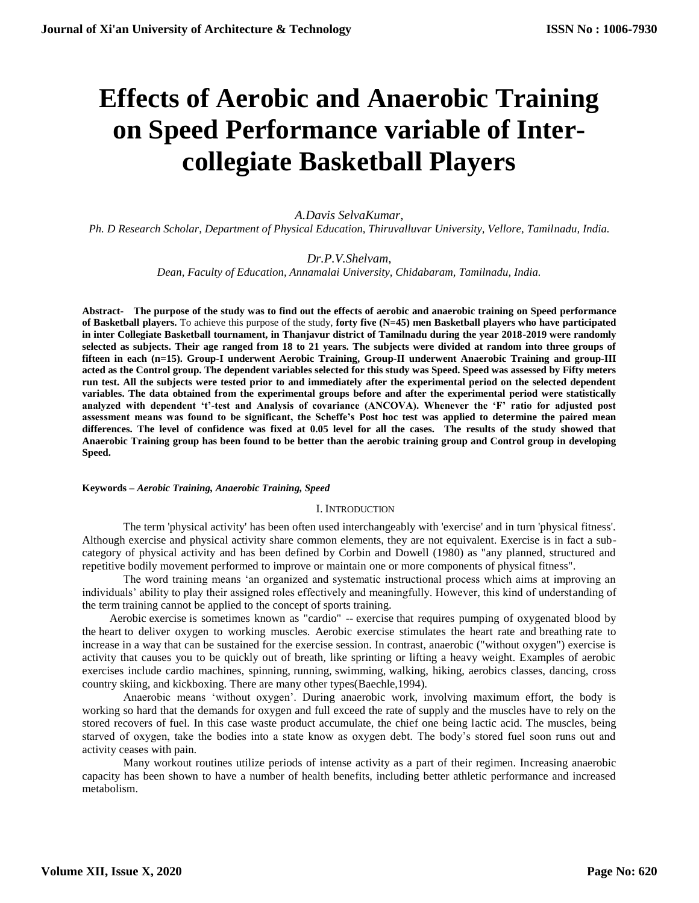# **Effects of Aerobic and Anaerobic Training on Speed Performance variable of Intercollegiate Basketball Players**

# *A.Davis SelvaKumar,*

*Ph. D Research Scholar, Department of Physical Education, Thiruvalluvar University, Vellore, Tamilnadu, India.*

# *Dr.P.V.Shelvam,*

*Dean, Faculty of Education, Annamalai University, Chidabaram, Tamilnadu, India.*

**Abstract- The purpose of the study was to find out the effects of aerobic and anaerobic training on Speed performance of Basketball players.** To achieve this purpose of the study, **forty five (N=45) men Basketball players who have participated in inter Collegiate Basketball tournament, in Thanjavur district of Tamilnadu during the year 2018-2019 were randomly selected as subjects. Their age ranged from 18 to 21 years. The subjects were divided at random into three groups of fifteen in each (n=15). Group-I underwent Aerobic Training, Group-II underwent Anaerobic Training and group-III acted as the Control group. The dependent variables selected for this study was Speed. Speed was assessed by Fifty meters run test. All the subjects were tested prior to and immediately after the experimental period on the selected dependent variables. The data obtained from the experimental groups before and after the experimental period were statistically analyzed with dependent 't'-test and Analysis of covariance (ANCOVA). Whenever the 'F' ratio for adjusted post assessment means was found to be significant, the Scheffe's Post hoc test was applied to determine the paired mean differences. The level of confidence was fixed at 0.05 level for all the cases. The results of the study showed that Anaerobic Training group has been found to be better than the aerobic training group and Control group in developing Speed.**

# **Keywords –** *Aerobic Training, Anaerobic Training, Speed*

# I. INTRODUCTION

The term 'physical activity' has been often used interchangeably with 'exercise' and in turn 'physical fitness'. Although exercise and physical activity share common elements, they are not equivalent. Exercise is in fact a subcategory of physical activity and has been defined by Corbin and Dowell (1980) as "any planned, structured and repetitive bodily movement performed to improve or maintain one or more components of physical fitness".

The word training means 'an organized and systematic instructional process which aims at improving an individuals' ability to play their assigned roles effectively and meaningfully. However, this kind of understanding of the term training cannot be applied to the concept of sports training.

Aerobic [exercise](https://www.medicinenet.com/exercise/article.htm) is sometimes known as "cardio" -- [exercise](https://www.medicinenet.com/exercise_and_fitness_quiz/quiz.htm) that requires pumping of oxygenated blood by the [heart](https://www.medicinenet.com/heart_how_the_heart_works/article.htm) to deliver oxygen to working muscles. Aerobic exercise stimulates the heart rate and [breathing](https://www.medicinenet.com/lungs_design_and_purpose/article.htm) rate to increase in a way that can be sustained for the exercise session. In contrast, anaerobic ("without oxygen") exercise is activity that causes you to be quickly out of breath, like sprinting or lifting a heavy weight. Examples of aerobic exercises include cardio machines, spinning, [running,](https://www.medicinenet.com/running/article.htm) [swimming,](https://www.medicinenet.com/swimming/article.htm) [walking,](https://www.medicinenet.com/walking/article.htm) hiking, aerobics classes, dancing, cross country skiing, and kickboxing. There are many other types(Baechle,1994).

Anaerobic means 'without oxygen'. During anaerobic work, involving maximum effort, the body is working so hard that the demands for oxygen and full exceed the rate of supply and the muscles have to rely on the stored recovers of fuel. In this case waste product accumulate, the chief one being lactic acid. The muscles, being starved of oxygen, take the bodies into a state know as oxygen debt. The body's stored fuel soon runs out and activity ceases with pain.

Many workout routines utilize periods of intense activity as a part of their regimen. Increasing anaerobic capacity has been shown to have a number of health benefits, including better athletic performance and increased metabolism.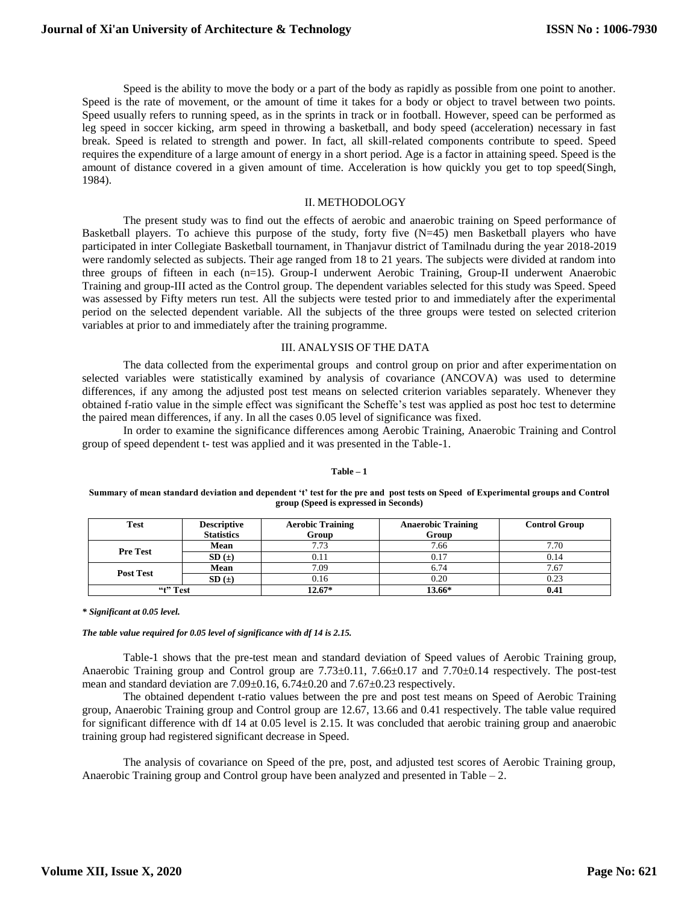Speed is the ability to move the body or a part of the body as rapidly as possible from one point to another. Speed is the rate of movement, or the amount of time it takes for a body or object to travel between two points. Speed usually refers to running speed, as in the sprints in track or in football. However, speed can be performed as leg speed in soccer kicking, arm speed in throwing a basketball, and body speed (acceleration) necessary in fast break. Speed is related to strength and power. In fact, all skill-related components contribute to speed. Speed requires the expenditure of a large amount of energy in a short period. Age is a factor in attaining speed. Speed is the amount of distance covered in a given amount of time. Acceleration is how quickly you get to top speed(Singh, 1984).

## II. METHODOLOGY

The present study was to find out the effects of aerobic and anaerobic training on Speed performance of Basketball players. To achieve this purpose of the study, forty five (N=45) men Basketball players who have participated in inter Collegiate Basketball tournament, in Thanjavur district of Tamilnadu during the year 2018-2019 were randomly selected as subjects. Their age ranged from 18 to 21 years. The subjects were divided at random into three groups of fifteen in each (n=15). Group-I underwent Aerobic Training, Group-II underwent Anaerobic Training and group-III acted as the Control group. The dependent variables selected for this study was Speed. Speed was assessed by Fifty meters run test. All the subjects were tested prior to and immediately after the experimental period on the selected dependent variable. All the subjects of the three groups were tested on selected criterion variables at prior to and immediately after the training programme.

## III. ANALYSIS OF THE DATA

The data collected from the experimental groups and control group on prior and after experimentation on selected variables were statistically examined by analysis of covariance (ANCOVA) was used to determine differences, if any among the adjusted post test means on selected criterion variables separately. Whenever they obtained f-ratio value in the simple effect was significant the Scheffe's test was applied as post hoc test to determine the paired mean differences, if any. In all the cases 0.05 level of significance was fixed.

In order to examine the significance differences among Aerobic Training, Anaerobic Training and Control group of speed dependent t- test was applied and it was presented in the Table-1.

#### **Table – 1**

#### **Summary of mean standard deviation and dependent 't' test for the pre and post tests on Speed of Experimental groups and Control group (Speed is expressed in Seconds)**

| <b>Test</b>      | <b>Descriptive</b> | <b>Aerobic Training</b><br><b>Anaerobic Training</b> |        | <b>Control Group</b> |
|------------------|--------------------|------------------------------------------------------|--------|----------------------|
|                  | <b>Statistics</b>  | Group                                                | Group  |                      |
| <b>Pre Test</b>  | <b>Mean</b>        | 7.73                                                 | 7.66   | 7.70                 |
|                  | SD(±)              | 0.11                                                 | 0.17   | 0.14                 |
| <b>Post Test</b> | Mean               | 7.09                                                 | 6.74   | 7.67                 |
|                  | $SD(\pm)$          | 0.16                                                 | 0.20   | 0.23                 |
| "t" Test         |                    | $12.67*$                                             | 13.66* | 0.41                 |

#### *\* Significant at 0.05 level.*

#### *The table value required for 0.05 level of significance with df 14 is 2.15.*

Table-1 shows that the pre-test mean and standard deviation of Speed values of Aerobic Training group, Anaerobic Training group and Control group are 7.73 $\pm$ 0.11, 7.66 $\pm$ 0.17 and 7.70 $\pm$ 0.14 respectively. The post-test mean and standard deviation are 7.09±0.16, 6.74±0.20 and 7.67±0.23 respectively.

The obtained dependent t-ratio values between the pre and post test means on Speed of Aerobic Training group, Anaerobic Training group and Control group are 12.67, 13.66 and 0.41 respectively. The table value required for significant difference with df 14 at 0.05 level is 2.15. It was concluded that aerobic training group and anaerobic training group had registered significant decrease in Speed.

The analysis of covariance on Speed of the pre, post, and adjusted test scores of Aerobic Training group, Anaerobic Training group and Control group have been analyzed and presented in Table  $-2$ .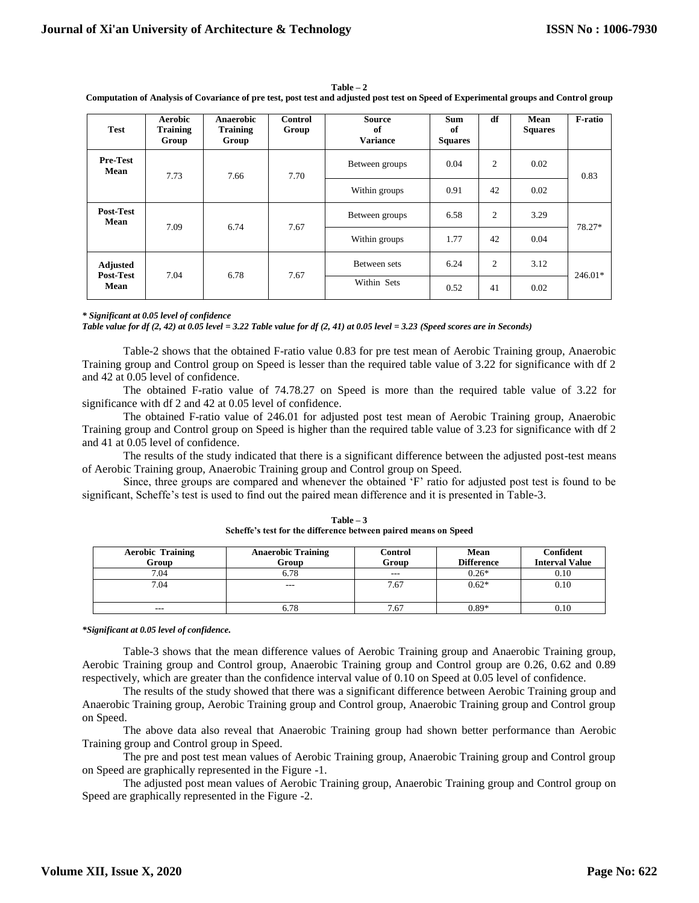**Mean** 7.73 7.66 7.70

**Mean** 7.09 6.74 7.67

7.04 6.78 7.67

0.83

78.27\*

246.01\*

**Computation of Analysis of Covariance of pre test, post test and adjusted post test on Speed of Experimental groups and Control group Test Aerobic Training Group Anaerobic Training Group Control Group Source of Variance Sum of Squares df Mean Squares F-ratio Pre-Test**  Between groups  $0.04$  2 0.02

Within groups  $\begin{array}{|c|c|c|c|c|} \hline 0.91 & 42 & 0.02 \hline \end{array}$ 

Between groups 1 6.58 2 3.29

Within groups  $1.77$  42 0.04

Between sets 6.24 2 3.12

Within Sets  $0.52 \t 41 \t 0.02$ 

**Table – 2**

**Post-Test** 

**Adjusted Post-Test Mean**

*\* Significant at 0.05 level of confidence Table value for df (2, 42) at 0.05 level = 3.22 Table value for df (2, 41) at 0.05 level = 3.23 (Speed scores are in Seconds)*

Table-2 shows that the obtained F-ratio value 0.83 for pre test mean of Aerobic Training group, Anaerobic Training group and Control group on Speed is lesser than the required table value of 3.22 for significance with df 2 and 42 at 0.05 level of confidence.

The obtained F-ratio value of 74.78.27 on Speed is more than the required table value of 3.22 for significance with df 2 and 42 at 0.05 level of confidence.

The obtained F-ratio value of 246.01 for adjusted post test mean of Aerobic Training group, Anaerobic Training group and Control group on Speed is higher than the required table value of 3.23 for significance with df 2 and 41 at 0.05 level of confidence.

The results of the study indicated that there is a significant difference between the adjusted post-test means of Aerobic Training group, Anaerobic Training group and Control group on Speed.

Since, three groups are compared and whenever the obtained 'F' ratio for adjusted post test is found to be significant, Scheffe's test is used to find out the paired mean difference and it is presented in Table-3.

| <b>Aerobic Training</b><br>Group | <b>Anaerobic Training</b><br>Group | <b>Control</b><br>Group | Mean<br><b>Difference</b> | Confident<br><b>Interval Value</b> |
|----------------------------------|------------------------------------|-------------------------|---------------------------|------------------------------------|
| 7.04                             | 6.78                               | $\qquad \qquad -$       | $0.26*$                   | 0.10                               |
| 7.04                             | $---$                              | 7.67                    | $0.62*$                   | 0.10                               |
| ---                              | 6.78                               | 7.67                    | $0.89*$                   | 0.10                               |

**Table – 3 Scheffe's test for the difference between paired means on Speed** 

*\*Significant at 0.05 level of confidence.*

Table-3 shows that the mean difference values of Aerobic Training group and Anaerobic Training group, Aerobic Training group and Control group, Anaerobic Training group and Control group are 0.26, 0.62 and 0.89 respectively, which are greater than the confidence interval value of 0.10 on Speed at 0.05 level of confidence.

The results of the study showed that there was a significant difference between Aerobic Training group and Anaerobic Training group, Aerobic Training group and Control group, Anaerobic Training group and Control group on Speed.

The above data also reveal that Anaerobic Training group had shown better performance than Aerobic Training group and Control group in Speed.

The pre and post test mean values of Aerobic Training group, Anaerobic Training group and Control group on Speed are graphically represented in the Figure -1.

The adjusted post mean values of Aerobic Training group, Anaerobic Training group and Control group on Speed are graphically represented in the Figure -2.